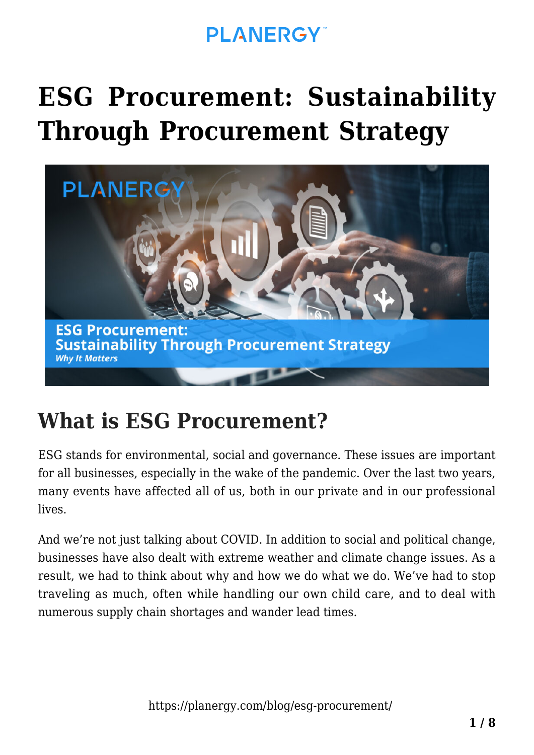# **[ESG Procurement: Sustainability](https://planergy.com/blog/esg-procurement/) [Through Procurement Strategy](https://planergy.com/blog/esg-procurement/)**



## **What is ESG Procurement?**

ESG stands for environmental, social and governance. These issues are important for all businesses, especially in the wake of the pandemic. Over the last two years, many events have affected all of us, both in our private and in our professional lives.

And we're not just talking about COVID. In addition to social and political change, businesses have also dealt with extreme weather and climate change issues. As a result, we had to think about why and how we do what we do. We've had to stop traveling as much, often while handling our own child care, and to deal with numerous supply chain shortages and wander lead times.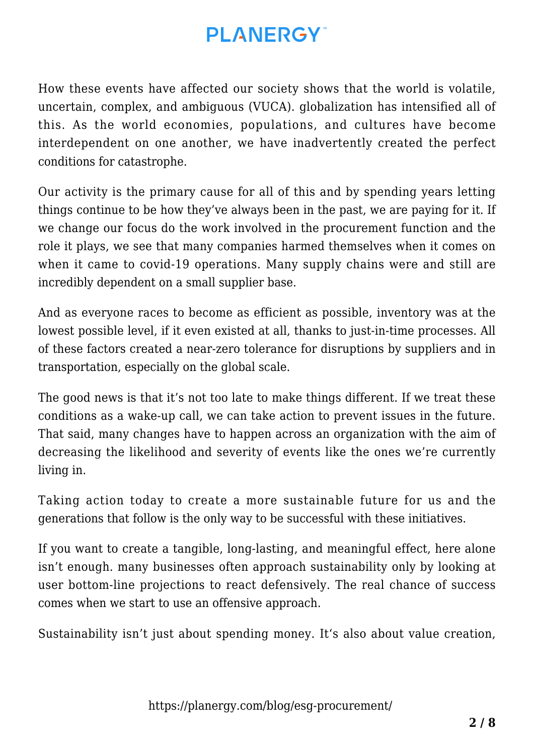How these events have affected our society shows that the world is volatile, uncertain, complex, and ambiguous (VUCA). globalization has intensified all of this. As the world economies, populations, and cultures have become interdependent on one another, we have inadvertently created the perfect conditions for catastrophe.

Our activity is the primary cause for all of this and by spending years letting things continue to be how they've always been in the past, we are paying for it. If we change our focus do the work involved in the procurement function and the role it plays, we see that many companies harmed themselves when it comes on when it came to covid-19 operations. Many supply chains were and still are incredibly dependent on a small supplier base.

And as everyone races to become as efficient as possible, inventory was at the lowest possible level, if it even existed at all, thanks to just-in-time processes. All of these factors created a near-zero tolerance for disruptions by suppliers and in transportation, especially on the global scale.

The good news is that it's not too late to make things different. If we treat these conditions as a wake-up call, we can take action to prevent issues in the future. That said, many changes have to happen across an organization with the aim of decreasing the likelihood and severity of events like the ones we're currently living in.

Taking action today to create a more sustainable future for us and the generations that follow is the only way to be successful with these initiatives.

If you want to create a tangible, long-lasting, and meaningful effect, here alone isn't enough. many businesses often approach sustainability only by looking at user bottom-line projections to react defensively. The real chance of success comes when we start to use an offensive approach.

Sustainability isn't just about spending money. It's also about value creation,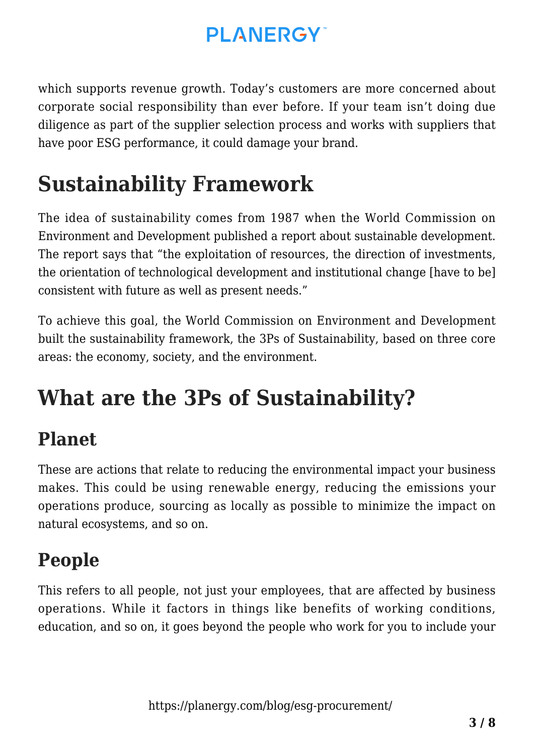which supports revenue growth. Today's customers are more concerned about corporate social responsibility than ever before. If your team isn't doing due diligence as part of the supplier selection process and works with suppliers that have poor ESG performance, it could damage your brand.

## **Sustainability Framework**

The idea of sustainability comes from 1987 when the World Commission on Environment and Development published a report about sustainable development. The report says that "the exploitation of resources, the direction of investments, the orientation of technological development and institutional change [have to be] consistent with future as well as present needs."

To achieve this goal, the World Commission on Environment and Development built the sustainability framework, the 3Ps of Sustainability, based on three core areas: the economy, society, and the environment.

## **What are the 3Ps of Sustainability?**

#### **Planet**

These are actions that relate to reducing the environmental impact your business makes. This could be using renewable energy, reducing the emissions your operations produce, sourcing as locally as possible to minimize the impact on natural ecosystems, and so on.

### **People**

This refers to all people, not just your employees, that are affected by business operations. While it factors in things like benefits of working conditions, education, and so on, it goes beyond the people who work for you to include your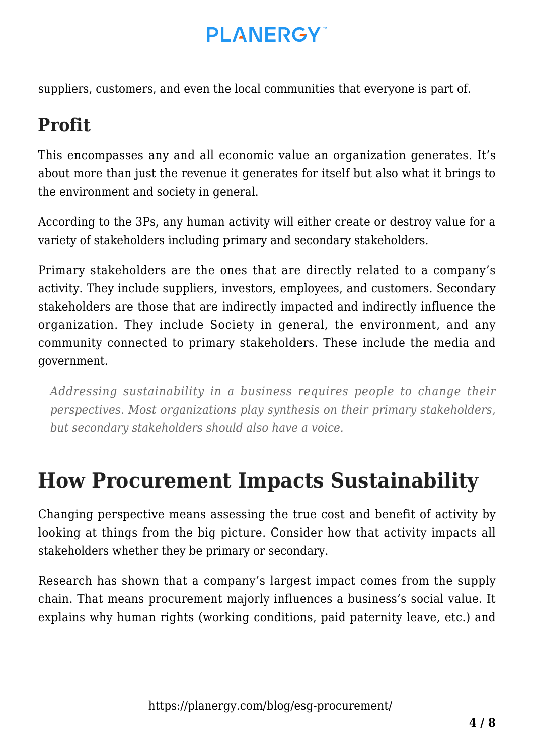suppliers, customers, and even the local communities that everyone is part of.

## **Profit**

This encompasses any and all economic value an organization generates. It's about more than just the revenue it generates for itself but also what it brings to the environment and society in general.

According to the 3Ps, any human activity will either create or destroy value for a variety of stakeholders including primary and secondary stakeholders.

Primary stakeholders are the ones that are directly related to a company's activity. They include suppliers, investors, employees, and customers. Secondary stakeholders are those that are indirectly impacted and indirectly influence the organization. They include Society in general, the environment, and any community connected to primary stakeholders. These include the media and government.

*Addressing sustainability in a business requires people to change their perspectives. Most organizations play synthesis on their primary stakeholders, but secondary stakeholders should also have a voice.*

## **How Procurement Impacts Sustainability**

Changing perspective means assessing the true cost and benefit of activity by looking at things from the big picture. Consider how that activity impacts all stakeholders whether they be primary or secondary.

Research has shown that a company's largest impact comes from the supply chain. That means procurement majorly influences a business's social value. It explains why human rights (working conditions, paid paternity leave, etc.) and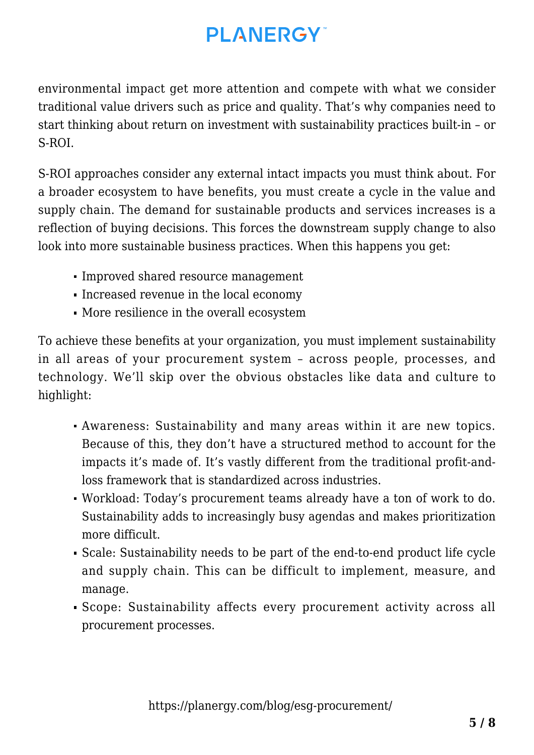environmental impact get more attention and compete with what we consider traditional value drivers such as price and quality. That's why companies need to start thinking about return on investment with sustainability practices built-in – or S-ROI.

S-ROI approaches consider any external intact impacts you must think about. For a broader ecosystem to have benefits, you must create a cycle in the value and supply chain. The demand for sustainable products and services increases is a reflection of buying decisions. This forces the downstream supply change to also look into more sustainable business practices. When this happens you get:

- Improved shared resource management
- Increased revenue in the local economy
- More resilience in the overall ecosystem

To achieve these benefits at your organization, you must implement [sustainability](https://planergy.com/blog/circular-procurement/) [in all areas of your procurement](https://planergy.com/blog/circular-procurement/) system – across people, processes, and technology. We'll skip over the obvious obstacles like data and culture to highlight:

- Awareness: Sustainability and many areas within it are new topics. Because of this, they don't have a structured method to account for the impacts it's made of. It's vastly different from the traditional profit-andloss framework that is standardized across industries.
- Workload: Today's procurement teams already have a ton of work to do. Sustainability adds to increasingly busy agendas and makes prioritization more difficult.
- Scale: Sustainability needs to be part of the end-to-end product life cycle and supply chain. This can be difficult to implement, measure, and manage.
- Scope: Sustainability affects every procurement activity across all procurement processes.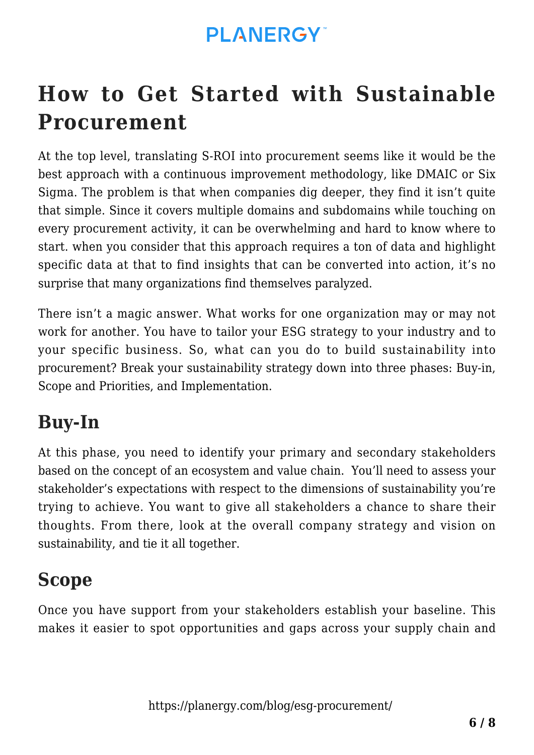## **How to Get Started with Sustainable Procurement**

At the top level, translating S-ROI into procurement seems like it would be the best approach with a continuous improvement methodology, like DMAIC or Six Sigma. The problem is that when companies dig deeper, they find it isn't quite that simple. Since it covers multiple domains and subdomains while touching on every procurement activity, it can be overwhelming and hard to know where to start. when you consider that this approach requires a ton of data and highlight specific data at that to find insights that can be converted into action, it's no surprise that many organizations find themselves paralyzed.

There isn't a magic answer. What works for one organization may or may not work for another. You have to tailor your [ESG strategy](https://planergy.com/blog/esg-strategy/) to your industry and to your specific business. So, what can you do to build sustainability into procurement? Break your sustainability strategy down into three phases: Buy-in, Scope and Priorities, and Implementation.

#### **Buy-In**

At this phase, you need to identify your primary and secondary stakeholders based on the concept of an ecosystem and value chain. You'll need to assess your stakeholder's expectations with respect to the dimensions of sustainability you're trying to achieve. You want to give all stakeholders a chance to share their thoughts. From there, look at the overall company strategy and vision on sustainability, and tie it all together.

#### **Scope**

Once you have support from your stakeholders establish your baseline. This makes it easier to spot opportunities and gaps across your supply chain and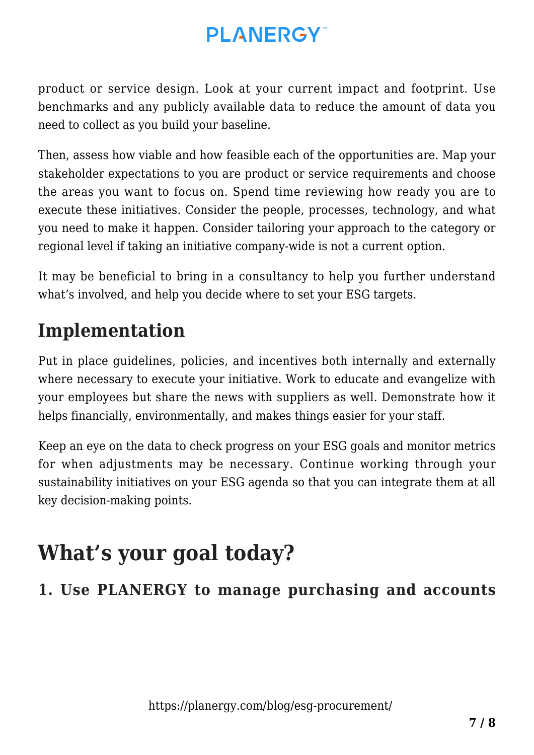product or service design. Look at your current impact and footprint. Use benchmarks and any publicly available data to reduce the amount of data you need to collect as you build your baseline.

Then, assess how viable and how feasible each of the opportunities are. Map your stakeholder expectations to you are product or service requirements and choose the areas you want to focus on. Spend time reviewing how ready you are to execute these initiatives. Consider the people, processes, technology, and what you need to make it happen. Consider tailoring your approach to the category or regional level if taking an initiative company-wide is not a current option.

It may be beneficial to bring in a consultancy to help you further understand what's involved, and help you decide where to set your ESG targets.

### **Implementation**

Put in place guidelines, policies, and incentives both internally and externally where necessary to execute your initiative. Work to educate and evangelize with your employees but share the news with suppliers as well. Demonstrate how it helps financially, environmentally, and makes things easier for your staff.

Keep an eye on the data to check progress on your ESG goals and monitor metrics for when adjustments may be necessary. Continue working through your sustainability initiatives on your ESG agenda so that you can integrate them at all key decision-making points.

## **What's your goal today?**

#### **1. Use PLANERGY to manage purchasing and accounts**